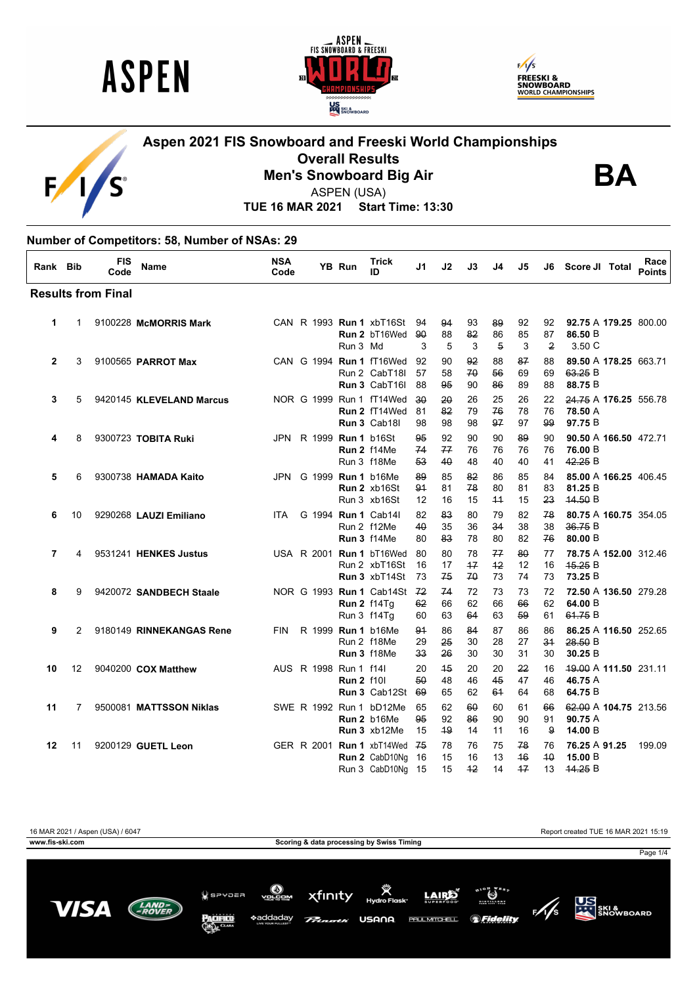

 $\mathsf F$ 

'S





#### **Aspen 2021 FIS Snowboard and Freeski World Championships Overall Results Men's Snowboard Big Air**



ASPEN (USA)

**TUE 16 MAR 2021 Start Time: 13:30**

#### **Number of Competitors: 58, Number of NSAs: 29**

| Rank Bib       |    | <b>FIS</b><br>Code        | Name                     | <b>NSA</b><br>Code |                        | <b>YB Run</b>     | Trick<br>ID                                                      | J1              | J2             | J3             | J4               | J5               | J6                         | Score JI Total                              | Race<br><b>Points</b> |
|----------------|----|---------------------------|--------------------------|--------------------|------------------------|-------------------|------------------------------------------------------------------|-----------------|----------------|----------------|------------------|------------------|----------------------------|---------------------------------------------|-----------------------|
|                |    | <b>Results from Final</b> |                          |                    |                        |                   |                                                                  |                 |                |                |                  |                  |                            |                                             |                       |
| 1              | 1  |                           | 9100228 McMORRIS Mark    |                    |                        | Run 3 Md          | CAN R 1993 Run 1 xbT16St 94<br><b>Run 2 bT16Wed</b>              | 90<br>3         | 94<br>88<br>5  | 93<br>82<br>3  | 89<br>86<br>5    | 92<br>85<br>3    | 92<br>87<br>$\overline{2}$ | 92.75 A 179.25 800.00<br>86.50 B<br>3.50 C  |                       |
| $\overline{2}$ | 3  |                           | 9100565 PARROT Max       |                    |                        |                   | CAN G 1994 Run 1 fT16Wed<br>Run 2 CabT18I<br>Run 3 CabT16I       | 92<br>57<br>88  | 90<br>58<br>95 | 92<br>70<br>90 | 88<br>56<br>86   | 87<br>69<br>89   | 88<br>69<br>88             | 89.50 A 178.25 663.71<br>63.25 B<br>88.75 B |                       |
| 3              | 5  |                           | 9420145 KLEVELAND Marcus |                    |                        |                   | NOR G 1999 Run 1 fT14Wed<br>Run 2 fT14Wed<br>Run 3 Cab18         | 30<br>81<br>98  | 20<br>82<br>98 | 26<br>79<br>98 | 25<br>76<br>97   | 26<br>78<br>97   | 22<br>76<br>99             | 24.75 A 176.25 556.78<br>78.50 A<br>97.75 B |                       |
| 4              | 8  |                           | 9300723 TOBITA Ruki      |                    | JPN R 1999 Run 1 b16St |                   | Run 2 f14Me<br>Run 3 f18Me                                       | 95<br>74<br>53  | 92<br>77<br>40 | 90<br>76<br>48 | 90<br>76<br>40   | 89<br>76<br>40   | 90<br>76<br>41             | 90.50 A 166.50 472.71<br>76.00 B<br>42.25 B |                       |
| 5              | 6  |                           | 9300738 HAMADA Kaito     | <b>JPN</b>         | G 1999 Run 1 b16Me     |                   | <b>Run 2 xb16St</b><br>Run 3 xb16St                              | 89<br>91<br>12  | 85<br>81<br>16 | 82<br>78<br>15 | 86<br>80<br>44   | 85<br>81<br>15   | 84<br>83<br>23             | 85.00 A 166.25 406.45<br>81.25 B<br>44.50 B |                       |
| 6              | 10 |                           | 9290268 LAUZI Emiliano   | ITA                |                        |                   | G 1994 Run 1 Cab141<br>Run 2 f12Me<br>Run 3 f14Me                | 82<br>40<br>80  | 83<br>35<br>83 | 80<br>36<br>78 | 79<br>34<br>80   | 82<br>38<br>82   | 78<br>38<br>76             | 80.75 A 160.75 354.05<br>36.75 B<br>80.00 B |                       |
| $\overline{7}$ | 4  |                           | 9531241 HENKES Justus    |                    |                        |                   | USA R 2001 Run 1 bT16Wed<br>Run 2 xbT16St<br>Run 3 xbT14St       | 80<br>16<br>73  | 80<br>17<br>75 | 78<br>17<br>70 | 77<br>$+2$<br>73 | 80<br>12<br>74   | 77<br>16<br>73             | 78.75 A 152.00 312.46<br>45.25 B<br>73.25 B |                       |
| 8              | 9  |                           | 9420072 SANDBECH Staale  |                    |                        |                   | NOR G 1993 Run 1 Cab14St 72<br><b>Run 2 f14Tq</b><br>Run 3 f14Tq | 62<br>60        | 74<br>66<br>63 | 72<br>62<br>64 | 73<br>66<br>63   | 73<br>66<br>59   | 72<br>62<br>61             | 72.50 A 136.50 279.28<br>64.00 B<br>61.75B  |                       |
| 9              | 2  |                           | 9180149 RINNEKANGAS Rene | <b>FIN</b>         | R 1999 Run 1 b16Me     |                   | Run 2 f18Me<br>Run 3 f18Me                                       | 94<br>29<br>33  | 86<br>25<br>26 | 84<br>30<br>30 | 87<br>28<br>30   | 86<br>27<br>31   | 86<br>34<br>30             | 86.25 A 116.50 252.65<br>28.50B<br>30.25 B  |                       |
| 10             | 12 |                           | 9040200 COX Matthew      |                    | AUS R 1998 Run 1 f141  | <b>Run 2 f10l</b> | <b>Run 3 Cab12St</b>                                             | 20<br>50<br>-69 | 45<br>48<br>65 | 20<br>46<br>62 | 20<br>45<br>61   | 22<br>47<br>64   | 16<br>46<br>68             | 49.00 A 111.50 231.11<br>46.75 A<br>64.75 B |                       |
| 11             | 7  |                           | 9500081 MATTSSON Niklas  |                    |                        |                   | SWE R 1992 Run 1 bD12Me<br>Run 2 b16Me<br>Run 3 xb12Me           | 65<br>95<br>15  | 62<br>92<br>49 | 60<br>86<br>14 | 60<br>90<br>11   | 61<br>90<br>16   | 66<br>91<br>9              | 62.00 A 104.75 213.56<br>90.75 A<br>14.00 B |                       |
| 12             | 11 |                           | 9200129 GUETL Leon       |                    |                        |                   | GER R 2001 Run 1 xbT14Wed<br>Run 2 CabD10Ng<br>Run 3 CabD10Ng 15 | 75<br>16        | 78<br>15<br>15 | 76<br>16<br>42 | 75<br>13<br>14   | 78<br>46<br>$+7$ | 76<br>$40^{\circ}$<br>13   | 76.25 A 91.25<br>15.00 B<br>44.25 B         | 199.09                |

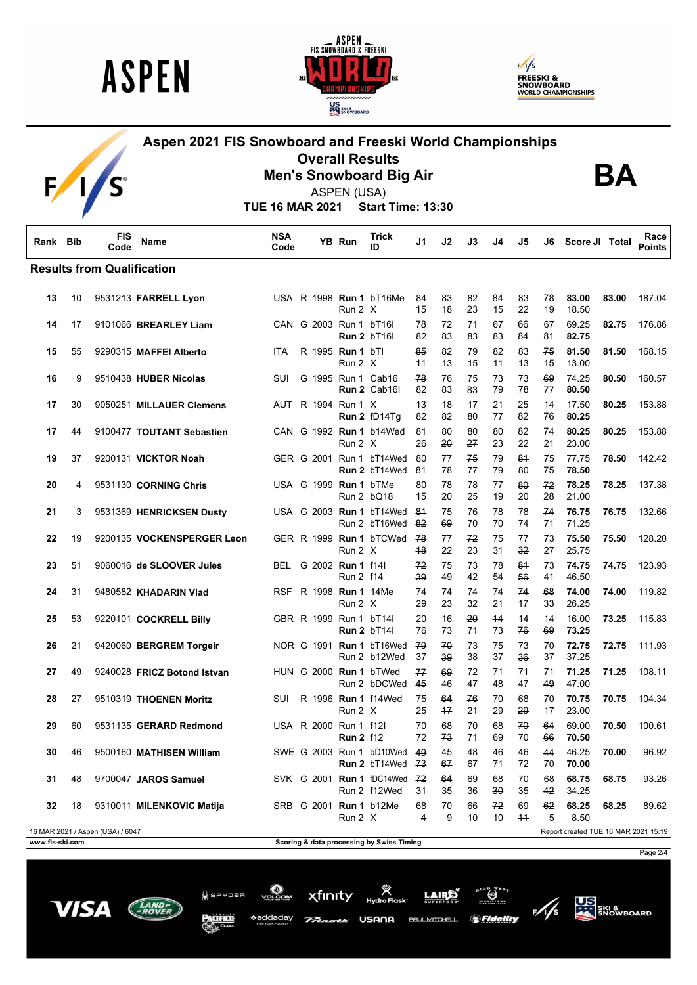





## **Aspen 2021 FIS Snowboard and Freeski World Championships Overall Results Men's Snowboard Big Air**



**BA**

ASPEN (USA)

**TUE 16 MAR 2021 Start Time: 13:30**

| Rank Bib        |    | <b>FIS</b><br>Code                | <b>Name</b>                 | <b>NSA</b><br>Code |  | YB Run                                       | Trick<br>ID                                              | J1         | J2         | J3       | J4       | J5         | J6       | Score JI Total                       |       | Race<br><b>Points</b> |
|-----------------|----|-----------------------------------|-----------------------------|--------------------|--|----------------------------------------------|----------------------------------------------------------|------------|------------|----------|----------|------------|----------|--------------------------------------|-------|-----------------------|
|                 |    | <b>Results from Qualification</b> |                             |                    |  |                                              |                                                          |            |            |          |          |            |          |                                      |       |                       |
| 13              | 10 |                                   | 9531213 FARRELL Lyon        |                    |  | Run 2 X                                      | USA R 1998 Run 1 bT16Me                                  | 84<br>45   | 83<br>18   | 82<br>23 | 84<br>15 | 83<br>22   | 78<br>19 | 83.00<br>18.50                       | 83.00 | 187.04                |
| 14              | 17 |                                   | 9101066 BREARLEY Liam       |                    |  | CAN G 2003 Run 1 bT16l                       | <b>Run 2 bT16l</b>                                       | 78<br>82   | 72<br>83   | 71<br>83 | 67<br>83 | 66<br>84   | 67<br>81 | 69.25<br>82.75                       | 82.75 | 176.86                |
| 15              | 55 |                                   | 9290315 MAFFEI Alberto      | ITA                |  | R 1995 Run 1 bTl<br>Run 2 X                  |                                                          | 85<br>44   | 82<br>13   | 79<br>15 | 82<br>11 | 83<br>13   | 75<br>45 | 81.50<br>13.00                       | 81.50 | 168.15                |
| 16              | 9  |                                   | 9510438 HUBER Nicolas       | SUI                |  |                                              | G 1995 Run 1 Cab16<br>Run 2 Cab16l                       | 78<br>82   | 76<br>83   | 75<br>83 | 73<br>79 | 73<br>78   | 69<br>77 | 74.25<br>80.50                       | 80.50 | 160.57                |
| 17              | 30 |                                   | 9050251 MILLAUER Clemens    |                    |  | AUT R 1994 Run 1 X                           | Run 2 fD14Tg                                             | 43<br>82   | 18<br>82   | 17<br>80 | 21<br>77 | 25<br>82   | 14<br>76 | 17.50<br>80.25                       | 80.25 | 153.88                |
| 17              | 44 |                                   | 9100477 TOUTANT Sebastien   |                    |  | Run 2 X                                      | CAN G 1992 Run 1 b14Wed                                  | 81<br>26   | 80<br>20   | 80<br>27 | 80<br>23 | 82<br>22   | 74<br>21 | 80.25<br>23.00                       | 80.25 | 153.88                |
| 19              | 37 |                                   | 9200131 VICKTOR Noah        |                    |  |                                              | GER G 2001 Run 1 bT14Wed<br>Run 2 bT14Wed                | 80<br>81   | 77<br>78   | 75<br>77 | 79<br>79 | 81<br>80   | 75<br>75 | 77.75<br>78.50                       | 78.50 | 142.42                |
| 20              | 4  |                                   | 9531130 CORNING Chris       |                    |  | USA G 1999 Run 1 bTMe<br>Run 2 bQ18          |                                                          | 80<br>45   | 78<br>20   | 78<br>25 | 77<br>19 | 80<br>20   | 72<br>28 | 78.25<br>21.00                       | 78.25 | 137.38                |
| 21              | 3  |                                   | 9531369 HENRICKSEN Dusty    |                    |  |                                              | USA G 2003 Run 1 bT14Wed<br>Run 2 bT16Wed                | -81<br>-82 | 75<br>69   | 76<br>70 | 78<br>70 | 78<br>74   | 74<br>71 | 76.75<br>71.25                       | 76.75 | 132.66                |
| 22              | 19 |                                   | 9200135 VOCKENSPERGER Leon  |                    |  | Run 2 X                                      | GER R 1999 Run 1 bTCWed                                  | -78<br>48  | 77<br>22   | 72<br>23 | 75<br>31 | 77<br>32   | 73<br>27 | 75.50<br>25.75                       | 75.50 | 128.20                |
| 23              | 51 |                                   | 9060016 de SLOOVER Jules    |                    |  | BEL G 2002 Run 1 f14l<br>Run 2 f14           |                                                          | 72<br>39   | 75<br>49   | 73<br>42 | 78<br>54 | 81<br>56   | 73<br>41 | 74.75<br>46.50                       | 74.75 | 123.93                |
| 24              | 31 |                                   | 9480582 KHADARIN Vlad       |                    |  | RSF R 1998 Run 1 14Me<br>Run 2 X             |                                                          | 74<br>29   | 74<br>23   | 74<br>32 | 74<br>21 | 74<br>$+7$ | 68<br>33 | 74.00<br>26.25                       | 74.00 | 119.82                |
| 25              | 53 |                                   | 9220101 COCKRELL Billy      |                    |  | GBR R 1999 Run 1 bT141<br><b>Run 2 bT14l</b> |                                                          | 20<br>76   | 16<br>73   | 20<br>71 | 44<br>73 | 14<br>76   | 14<br>69 | 16.00<br>73.25                       | 73.25 | 115.83                |
| 26              | 21 |                                   | 9420060 BERGREM Torgeir     |                    |  |                                              | NOR G 1991 Run 1 bT16Wed<br>Run 2 b12Wed                 | -79<br>37  | 70<br>39   | 73<br>38 | 75<br>37 | 73<br>36   | 70<br>37 | 72.75<br>37.25                       | 72.75 | 111.93                |
| 27              | 49 |                                   | 9240028 FRICZ Botond Istvan |                    |  |                                              | HUN G 2000 Run 1 bTWed<br>Run 2 bDCWed                   | 77<br>-45  | 69<br>46   | 72<br>47 | 71<br>48 | 71<br>47   | 71<br>49 | 71.25<br>47.00                       | 71.25 | 108.11                |
| 28              | 27 |                                   | 9510319 THOENEN Moritz      | SUI                |  | Run 2 X                                      | R 1996 Run 1 f14Wed                                      | 75<br>25   | 64<br>$+7$ | 76<br>21 | 70<br>29 | 68<br>29   | 70<br>17 | 70.75<br>23.00                       | 70.75 | 104.34                |
| 29              | 60 |                                   | 9531135 GERARD Redmond      |                    |  | USA R 2000 Run 1 f12l<br><b>Run 2 f12</b>    |                                                          | 70<br>72   | 68<br>73   | 70<br>71 | 68<br>69 | 70<br>70   | 64<br>66 | 69.00<br>70.50                       | 70.50 | 100.61                |
| 30              | 46 |                                   | 9500160 MATHISEN William    |                    |  |                                              | SWE G 2003 Run 1 bD10Wed 49<br><b>Run 2</b> bT14Wed $73$ |            | 45<br>67   | 48<br>67 | 46<br>71 | 46<br>72   | 44<br>70 | 46.25<br>70.00                       | 70.00 | 96.92                 |
| 31              | 48 |                                   | 9700047 JAROS Samuel        |                    |  |                                              | SVK G 2001 <b>Run 1</b> fDC14Wed 72<br>Run 2 f12Wed      | 31         | 64<br>35   | 69<br>36 | 68<br>30 | 70<br>35   | 68<br>42 | 68.75<br>34.25                       | 68.75 | 93.26                 |
| 32              | 18 |                                   | 9310011 MILENKOVIC Matija   |                    |  | Run 2 X                                      | SRB G 2001 Run 1 b12Me                                   | 68<br>4    | 70<br>9    | 66<br>10 | 72<br>10 | 69<br>44   | 62<br>5  | 68.25<br>8.50                        | 68.25 | 89.62                 |
|                 |    | 16 MAR 2021 / Aspen (USA) / 6047  |                             |                    |  |                                              |                                                          |            |            |          |          |            |          | Report created TUE 16 MAR 2021 15:19 |       |                       |
| www.fis-ski.com |    |                                   |                             |                    |  |                                              | Scoring & data processing by Swiss Timing                |            |            |          |          |            |          |                                      |       |                       |

Page 2/4











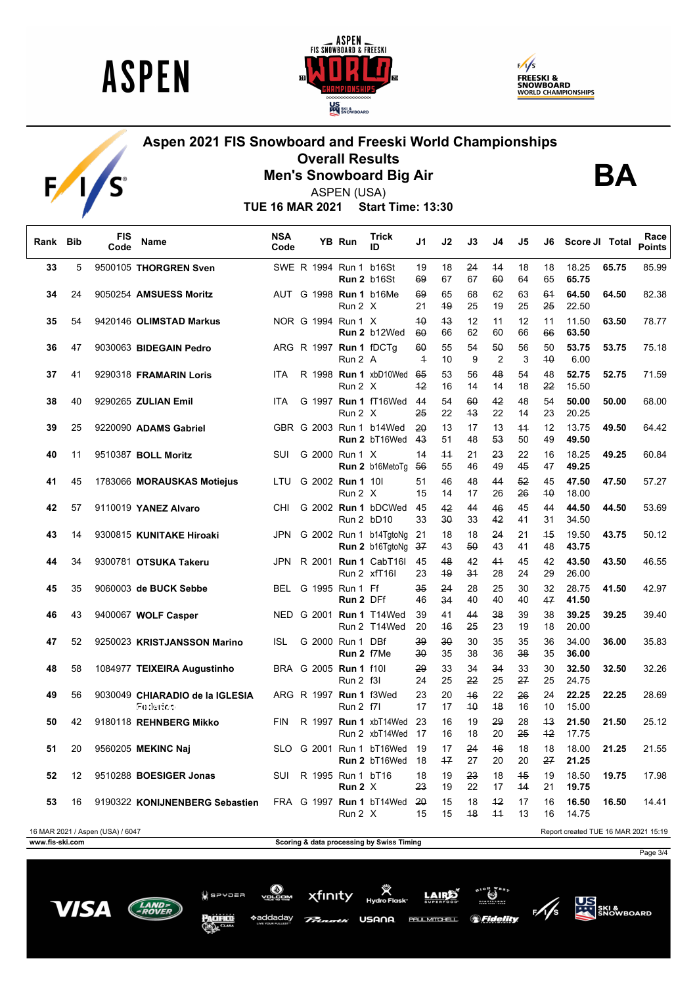

 $F/1/S$ 





# **Aspen 2021 FIS Snowboard and Freeski World Championships Overall Results**



**Men's Snowboard Big Air** ASPEN (USA)

**BA**

**TUE 16 MAR 2021 Start Time: 13:30**

| Rank Bib |    | <b>FIS</b><br>Code               | Name                                        | <b>NSA</b><br>Code |  | YB Run                                     | <b>Trick</b><br>ID                                 | J1                   | J2       | J3       | J4                   | J5         | J6         | Score JI Total                       |       | Race<br><b>Points</b> |
|----------|----|----------------------------------|---------------------------------------------|--------------------|--|--------------------------------------------|----------------------------------------------------|----------------------|----------|----------|----------------------|------------|------------|--------------------------------------|-------|-----------------------|
| 33       | 5  |                                  | 9500105 THORGREN Sven                       |                    |  | SWE R 1994 Run 1 b16St                     | Run 2 b16St                                        | 19<br>69             | 18<br>67 | 24<br>67 | 44<br>60             | 18<br>64   | 18<br>65   | 18.25<br>65.75                       | 65.75 | 85.99                 |
| 34       | 24 |                                  | 9050254 AMSUESS Moritz                      |                    |  | Run 2 X                                    | AUT G 1998 Run 1 b16Me                             | 69<br>21             | 65<br>49 | 68<br>25 | 62<br>19             | 63<br>25   | 61<br>25   | 64.50<br>22.50                       | 64.50 | 82.38                 |
| 35       | 54 |                                  | 9420146 OLIMSTAD Markus                     |                    |  | NOR G 1994 Run 1 X                         | Run 2 b12Wed                                       | 40<br>60             | 43<br>66 | 12<br>62 | 11<br>60             | 12<br>66   | 11<br>66   | 11.50<br>63.50                       | 63.50 | 78.77                 |
| 36       | 47 |                                  | 9030063 BIDEGAIN Pedro                      |                    |  | ARG R 1997 Run 1 fDCTq<br>Run 2 A          |                                                    | 60<br>$\overline{+}$ | 55<br>10 | 54<br>9  | 50<br>$\overline{2}$ | 56<br>3    | 50<br>40   | 53.75<br>6.00                        | 53.75 | 75.18                 |
| 37       | 41 |                                  | 9290318 FRAMARIN Loris                      | <b>ITA</b>         |  | Run 2 X                                    | R 1998 Run 1 xbD10Wed 65                           | $+2$                 | 53<br>16 | 56<br>14 | 48<br>14             | 54<br>18   | 48<br>22   | 52.75<br>15.50                       | 52.75 | 71.59                 |
| 38       | 40 |                                  | 9290265 ZULIAN Emil                         | <b>ITA</b>         |  | Run 2 X                                    | G 1997 Run 1 fT16Wed 44                            | 25                   | 54<br>22 | 60<br>43 | 42<br>22             | 48<br>14   | 54<br>23   | 50.00<br>20.25                       | 50.00 | 68.00                 |
| 39       | 25 |                                  | 9220090 ADAMS Gabriel                       |                    |  |                                            | GBR G 2003 Run 1 b14Wed<br><b>Run 2</b> bT16Wed 43 | 20                   | 13<br>51 | 17<br>48 | 13<br>53             | $+4$<br>50 | 12<br>49   | 13.75<br>49.50                       | 49.50 | 64.42                 |
| 40       | 11 |                                  | 9510387 BOLL Moritz                         | SUI                |  | G 2000 Run 1 X                             | <b>Run 2</b> b16MetoTq 56                          | 14                   | 44<br>55 | 21<br>46 | 23<br>49             | 22<br>45   | 16<br>47   | 18.25<br>49.25                       | 49.25 | 60.84                 |
| 41       | 45 |                                  | 1783066 MORAUSKAS Motiejus                  |                    |  | LTU G 2002 Run 1 101<br>Run 2 X            |                                                    | 51<br>15             | 46<br>14 | 48<br>17 | 44<br>26             | 52<br>26   | 45<br>40   | 47.50<br>18.00                       | 47.50 | 57.27                 |
| 42       | 57 |                                  | 9110019 YANEZ Alvaro                        | CHI.               |  | Run 2 bD10                                 | G 2002 Run 1 bDCWed 45                             | 33                   | 42<br>30 | 44<br>33 | 46<br>42             | 45<br>41   | 44<br>31   | 44.50<br>34.50                       | 44.50 | 53.69                 |
| 43       | 14 |                                  | 9300815 KUNITAKE Hiroaki                    | JPN                |  |                                            | G 2002 Run 1 b14TgtoNg 21<br>Run 2 b16TgtoNg 37    |                      | 18<br>43 | 18<br>50 | 24<br>43             | 21<br>41   | 45<br>48   | 19.50<br>43.75                       | 43.75 | 50.12                 |
| 44       | 34 |                                  | 9300781 OTSUKA Takeru                       | JPN                |  |                                            | R 2001 <b>Run 1</b> CabT16I<br>Run 2 xfT16I        | 45<br>23             | 48<br>49 | 42<br>34 | 41<br>28             | 45<br>24   | 42<br>29   | 43.50<br>26.00                       | 43.50 | 46.55                 |
| 45       | 35 |                                  | 9060003 de BUCK Sebbe                       |                    |  | BEL G 1995 Run 1 Ff<br>Run 2 DFf           |                                                    | 35<br>46             | 24<br>34 | 28<br>40 | 25<br>40             | 30<br>40   | 32<br>47   | 28.75<br>41.50                       | 41.50 | 42.97                 |
| 46       | 43 |                                  | 9400067 WOLF Casper                         |                    |  |                                            | NED G 2001 Run 1 T14Wed<br>Run 2 T14Wed            | 39<br>20             | 41<br>46 | 44<br>25 | 38<br>23             | 39<br>19   | 38<br>18   | 39.25<br>20.00                       | 39.25 | 39.40                 |
| 47       | 52 |                                  | 9250023 KRISTJANSSON Marino                 | <b>ISL</b>         |  | G 2000 Run 1 DBf<br>Run 2 f7Me             |                                                    | 39<br>30             | 30<br>35 | 30<br>38 | 35<br>36             | 35<br>38   | 36<br>35   | 34.00<br>36.00                       | 36.00 | 35.83                 |
| 48       | 58 |                                  | 1084977 TEIXEIRA Augustinho                 |                    |  | BRA G 2005 Run 1 f10l<br><b>Run 2 f3l</b>  |                                                    | 29<br>24             | 33<br>25 | 34<br>22 | 34<br>25             | 33<br>27   | 30<br>25   | 32.50<br>24.75                       | 32.50 | 32.26                 |
| 49       | 56 |                                  | 9030049 CHIARADIO de la IGLESIA<br>Federico |                    |  | ARG R 1997 Run 1 f3Wed<br><b>Run 2 f7l</b> |                                                    | 23<br>17             | 20<br>17 | 46<br>40 | 22<br>48             | 26<br>16   | 24<br>10   | 22.25<br>15.00                       | 22.25 | 28.69                 |
| 50       | 42 |                                  | 9180118 REHNBERG Mikko                      | <b>FIN</b>         |  |                                            | R 1997 Run 1 xbT14Wed<br>Run 2 xbT14Wed            | 23<br>17             | 16<br>16 | 19<br>18 | 29<br>20             | 28<br>25   | 43<br>$+2$ | 21.50<br>17.75                       | 21.50 | 25.12                 |
| 51       | 20 |                                  | 9560205 MEKINC Naj                          |                    |  |                                            | SLO G 2001 Run 1 bT16Wed<br>Run 2 bT16Wed          | 19<br>- 18           | 17<br>17 | 24<br>27 | 46<br>20             | 18<br>20   | 18<br>27   | 18.00<br>21.25                       | 21.25 | 21.55                 |
| 52       | 12 |                                  | 9510288 BOESIGER Jonas                      | <b>SUI</b>         |  | R 1995 Run 1 bT16<br>Run $2 \times$        |                                                    | 18<br>23             | 19<br>19 | 23<br>22 | 18<br>17             | 45<br>44   | 19<br>21   | 18.50<br>19.75                       | 19.75 | 17.98                 |
| 53       | 16 |                                  | 9190322 KONIJNENBERG Sebastien              |                    |  | Run 2 X                                    | FRA G 1997 Run 1 bT14Wed 20                        | 15                   | 15<br>15 | 18<br>48 | 42<br>$+4$           | 17<br>13   | 16<br>16   | 16.50<br>14.75                       | 16.50 | 14.41                 |
|          |    | 16 MAR 2021 / Aspen (USA) / 6047 |                                             |                    |  |                                            |                                                    |                      |          |          |                      |            |            | Report created TUE 16 MAR 2021 15:19 |       |                       |

**www.fis-ski.com Scoring & data processing by Swiss Timing** 

USANA

LAIRE

*Seidelity* 

**PAUL MITCHELL** 

xfinity

 $Q$  spypea

\*addadav

Page 3/4